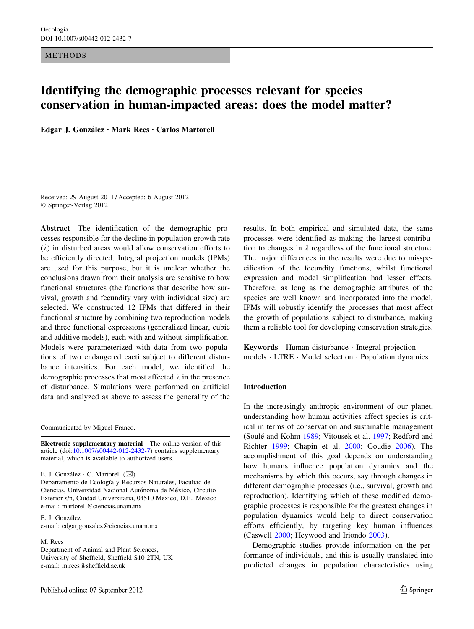METHODS

# Identifying the demographic processes relevant for species conservation in human-impacted areas: does the model matter?

Edgar J. González · Mark Rees · Carlos Martorell

Received: 29 August 2011 / Accepted: 6 August 2012 © Springer-Verlag 2012

Abstract The identification of the demographic processes responsible for the decline in population growth rate  $(\lambda)$  in disturbed areas would allow conservation efforts to be efficiently directed. Integral projection models (IPMs) are used for this purpose, but it is unclear whether the conclusions drawn from their analysis are sensitive to how functional structures (the functions that describe how survival, growth and fecundity vary with individual size) are selected. We constructed 12 IPMs that differed in their functional structure by combining two reproduction models and three functional expressions (generalized linear, cubic and additive models), each with and without simplification. Models were parameterized with data from two populations of two endangered cacti subject to different disturbance intensities. For each model, we identified the demographic processes that most affected  $\lambda$  in the presence of disturbance. Simulations were performed on artificial data and analyzed as above to assess the generality of the

Communicated by Miguel Franco.

Electronic supplementary material The online version of this article (doi:[10.1007/s00442-012-2432-7\)](http://dx.doi.org/10.1007/s00442-012-2432-7) contains supplementary material, which is available to authorized users.

E. J. González  $\cdot$  C. Martorell ( $\boxtimes$ ) Departamento de Ecología y Recursos Naturales, Facultad de Ciencias, Universidad Nacional Autónoma de México, Circuito Exterior s/n, Ciudad Universitaria, 04510 Mexico, D.F., Mexico e-mail: martorell@ciencias.unam.mx

E. J. González e-mail: edgarjgonzalez@ciencias.unam.mx

#### M. Rees

Department of Animal and Plant Sciences, University of Sheffield, Sheffield S10 2TN, UK e-mail: m.rees@sheffield.ac.uk

results. In both empirical and simulated data, the same processes were identified as making the largest contribution to changes in  $\lambda$  regardless of the functional structure. The major differences in the results were due to misspecification of the fecundity functions, whilst functional expression and model simplification had lesser effects. Therefore, as long as the demographic attributes of the species are well known and incorporated into the model, IPMs will robustly identify the processes that most affect the growth of populations subject to disturbance, making them a reliable tool for developing conservation strategies.

Keywords Human disturbance - Integral projection models - LTRE - Model selection - Population dynamics

## Introduction

In the increasingly anthropic environment of our planet, understanding how human activities affect species is critical in terms of conservation and sustainable management (Soulé and Kohm [1989;](#page-9-0) Vitousek et al. [1997](#page-9-0); Redford and Richter [1999](#page-9-0); Chapin et al. [2000](#page-8-0); Goudie [2006](#page-8-0)). The accomplishment of this goal depends on understanding how humans influence population dynamics and the mechanisms by which this occurs, say through changes in different demographic processes (i.e., survival, growth and reproduction). Identifying which of these modified demographic processes is responsible for the greatest changes in population dynamics would help to direct conservation efforts efficiently, by targeting key human influences (Caswell [2000;](#page-8-0) Heywood and Iriondo [2003\)](#page-8-0).

Demographic studies provide information on the performance of individuals, and this is usually translated into predicted changes in population characteristics using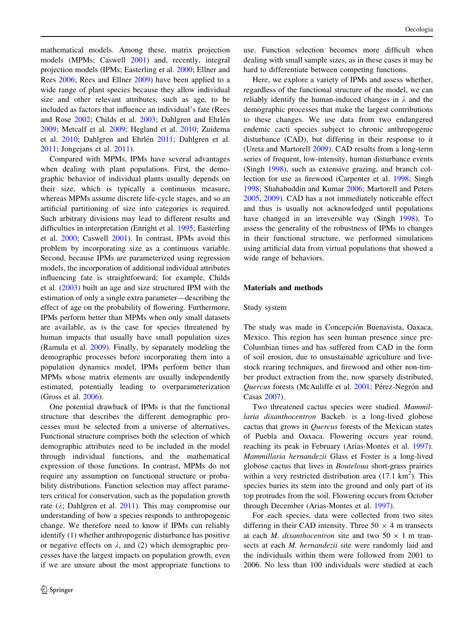mathematical models. Among these, matrix projection models (MPMs; Caswell [2001](#page-8-0)) and, recently, integral projection models (IPMs; Easterling et al. [2000;](#page-8-0) Ellner and Rees [2006;](#page-8-0) Rees and Ellner [2009\)](#page-9-0) have been applied to a wide range of plant species because they allow individual size and other relevant attributes, such as age, to be included as factors that influence an individual's fate (Rees and Rose [2002;](#page-9-0) Childs et al. [2003;](#page-8-0) Dahlgren and Ehrlén [2009;](#page-8-0) Metcalf et al. [2009;](#page-9-0) Hegland et al. [2010;](#page-8-0) Zuidema et al. [2010;](#page-9-0) Dahlgren and Ehrlén [2011;](#page-8-0) Dahlgren et al. [2011;](#page-8-0) Jongejans et al. [2011\)](#page-8-0).

Compared with MPMs, IPMs have several advantages when dealing with plant populations. First, the demographic behavior of individual plants usually depends on their size, which is typically a continuous measure, whereas MPMs assume discrete life-cycle stages, and so an artificial partitioning of size into categories is required. Such arbitrary divisions may lead to different results and difficulties in interpretation (Enright et al. [1995;](#page-8-0) Easterling et al. [2000;](#page-8-0) Caswell [2001\)](#page-8-0). In contrast, IPMs avoid this problem by incorporating size as a continuous variable. Second, because IPMs are parameterized using regression models, the incorporation of additional individual attributes influencing fate is straightforward; for example, Childs et al. ([2003\)](#page-8-0) built an age and size structured IPM with the estimation of only a single extra parameter—describing the effect of age on the probability of flowering. Furthermore, IPMs perform better than MPMs when only small datasets are available, as is the case for species threatened by human impacts that usually have small population sizes (Ramula et al. [2009](#page-9-0)). Finally, by separately modeling the demographic processes before incorporating them into a population dynamics model, IPMs perform better than MPMs whose matrix elements are usually independently estimated, potentially leading to overparameterization (Gross et al. [2006](#page-8-0)).

One potential drawback of IPMs is that the functional structure that describes the different demographic processes must be selected from a universe of alternatives. Functional structure comprises both the selection of which demographic attributes need to be included in the model through individual functions, and the mathematical expression of those functions. In contrast, MPMs do not require any assumption on functional structure or probability distributions. Function selection may affect parameters critical for conservation, such as the population growth rate  $(\lambda;$  Dahlgren et al. [2011](#page-8-0)). This may compromise our understanding of how a species responds to anthropogenic change. We therefore need to know if IPMs can reliably identify (1) whether anthropogenic disturbance has positive or negative effects on  $\lambda$ , and (2) which demographic processes have the largest impacts on population growth, even if we are unsure about the most appropriate functions to

use. Function selection becomes more difficult when dealing with small sample sizes, as in these cases it may be hard to differentiate between competing functions.

Here, we explore a variety of IPMs and assess whether, regardless of the functional structure of the model, we can reliably identify the human-induced changes in  $\lambda$  and the demographic processes that make the largest contributions to these changes. We use data from two endangered endemic cacti species subject to chronic anthropogenic disturbance (CAD), but differing in their response to it (Ureta and Martorell [2009\)](#page-9-0). CAD results from a long-term series of frequent, low-intensity, human disturbance events (Singh [1998\)](#page-9-0), such as extensive grazing, and branch collection for use as firewood (Carpenter et al. [1998](#page-8-0); Singh [1998](#page-9-0); Shahabuddin and Kumar [2006;](#page-9-0) Martorell and Peters [2005](#page-8-0), [2009\)](#page-8-0). CAD has a not immediately noticeable effect and thus is usually not acknowledged until populations have changed in an irreversible way (Singh [1998\)](#page-9-0). To assess the generality of the robustness of IPMs to changes in their functional structure, we performed simulations using artificial data from virtual populations that showed a wide range of behaviors.

## Materials and methods

#### Study system

The study was made in Concepción Buenavista, Oaxaca, Mexico. This region has seen human presence since pre-Columbian times and has suffered from CAD in the form of soil erosion, due to unsustainable agriculture and livestock rearing techniques, and firewood and other non-timber product extraction from the, now sparsely distributed, Quercus forests (McAuliffe et al. [2001](#page-9-0); Pérez-Negrón and Casas [2007\)](#page-9-0).

Two threatened cactus species were studied. Mammillaria dixanthocentron Backeb. is a long-lived globose cactus that grows in Quercus forests of the Mexican states of Puebla and Oaxaca. Flowering occurs year round, reaching its peak in February (Arias-Montes et al. [1997](#page-8-0)). Mammillaria hernandezii Glass et Foster is a long-lived globose cactus that lives in Bouteloua short-grass prairies within a very restricted distribution area  $(17.1 \text{ km}^2)$ . This species buries its stem into the ground and only part of its top protrudes from the soil. Flowering occurs from October through December (Arias-Montes et al. [1997](#page-8-0)).

For each species, data were collected from two sites differing in their CAD intensity. Three  $50 \times 4$  m transects at each *M. dixanthocentron* site and two  $50 \times 1$  m transects at each *M. hernandezii* site were randomly laid and the individuals within them were followed from 2001 to 2006. No less than 100 individuals were studied at each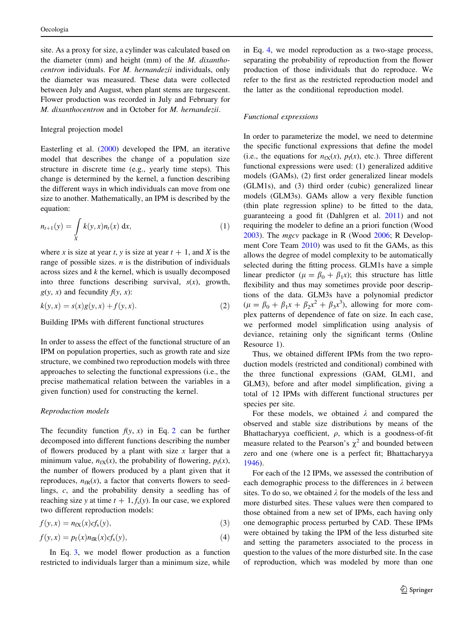<span id="page-2-0"></span>site. As a proxy for size, a cylinder was calculated based on the diameter (mm) and height (mm) of the M. dixanthocentron individuals. For M. hernandezii individuals, only the diameter was measured. These data were collected between July and August, when plant stems are turgescent. Flower production was recorded in July and February for M. dixanthocentron and in October for M. hernandezii.

## Integral projection model

Easterling et al. [\(2000](#page-8-0)) developed the IPM, an iterative model that describes the change of a population size structure in discrete time (e.g., yearly time steps). This change is determined by the kernel, a function describing the different ways in which individuals can move from one size to another. Mathematically, an IPM is described by the equation:

$$
n_{t+1}(y) = \int_{X} k(y,x)n_t(x) \, dx,\tag{1}
$$

where x is size at year t, y is size at year  $t + 1$ , and X is the range of possible sizes.  $n$  is the distribution of individuals across sizes and  $k$  the kernel, which is usually decomposed into three functions describing survival,  $s(x)$ , growth,  $g(y, x)$  and fecundity  $f(y, x)$ :

$$
k(y, x) = s(x)g(y, x) + f(y, x).
$$
 (2)

Building IPMs with different functional structures

In order to assess the effect of the functional structure of an IPM on population properties, such as growth rate and size structure, we combined two reproduction models with three approaches to selecting the functional expressions (i.e., the precise mathematical relation between the variables in a given function) used for constructing the kernel.

#### Reproduction models

The fecundity function  $f(y, x)$  in Eq. 2 can be further decomposed into different functions describing the number of flowers produced by a plant with size  $x$  larger that a minimum value,  $n_{fX}(x)$ , the probability of flowering,  $p_f(x)$ , the number of flowers produced by a plant given that it reproduces,  $n_{\text{FR}}(x)$ , a factor that converts flowers to seedlings, c, and the probability density a seedling has of reaching size y at time  $t + 1$ ,  $f_s(y)$ . In our case, we explored two different reproduction models:

$$
f(y,x) = n_{fX}(x)cf_s(y),
$$
\n(3)

$$
f(y,x) = p_f(x)n_{\text{fR}}(x)cf_s(y),\tag{4}
$$

In Eq. 3, we model flower production as a function restricted to individuals larger than a minimum size, while in Eq. 4, we model reproduction as a two-stage process, separating the probability of reproduction from the flower production of those individuals that do reproduce. We refer to the first as the restricted reproduction model and the latter as the conditional reproduction model.

#### Functional expressions

In order to parameterize the model, we need to determine the specific functional expressions that define the model (i.e., the equations for  $n_{fX}(x)$ ,  $p_f(x)$ , etc.). Three different functional expressions were used: (1) generalized additive models (GAMs), (2) first order generalized linear models (GLM1s), and (3) third order (cubic) generalized linear models (GLM3s). GAMs allow a very flexible function (thin plate regression spline) to be fitted to the data, guaranteeing a good fit (Dahlgren et al. [2011\)](#page-8-0) and not requiring the modeler to define an a priori function (Wood [2003](#page-9-0)). The mgcv package in R (Wood [2006](#page-9-0); R Development Core Team [2010\)](#page-9-0) was used to fit the GAMs, as this allows the degree of model complexity to be automatically selected during the fitting process. GLM1s have a simple linear predictor ( $\mu = \beta_0 + \beta_1 x$ ); this structure has little flexibility and thus may sometimes provide poor descriptions of the data. GLM3s have a polynomial predictor  $(\mu = \beta_0 + \beta_1 x + \beta_2 x^2 + \beta_3 x^3)$ , allowing for more complex patterns of dependence of fate on size. In each case, we performed model simplification using analysis of deviance, retaining only the significant terms (Online Resource 1).

Thus, we obtained different IPMs from the two reproduction models (restricted and conditional) combined with the three functional expressions (GAM, GLM1, and GLM3), before and after model simplification, giving a total of 12 IPMs with different functional structures per species per site.

For these models, we obtained  $\lambda$  and compared the observed and stable size distributions by means of the Bhattacharyya coefficient,  $\rho$ , which is a goodness-of-fit measure related to the Pearson's  $\chi^2$  and bounded between zero and one (where one is a perfect fit; Bhattacharyya [1946](#page-8-0)).

For each of the 12 IPMs, we assessed the contribution of each demographic process to the differences in  $\lambda$  between sites. To do so, we obtained  $\lambda$  for the models of the less and more disturbed sites. These values were then compared to those obtained from a new set of IPMs, each having only one demographic process perturbed by CAD. These IPMs were obtained by taking the IPM of the less disturbed site and setting the parameters associated to the process in question to the values of the more disturbed site. In the case of reproduction, which was modeled by more than one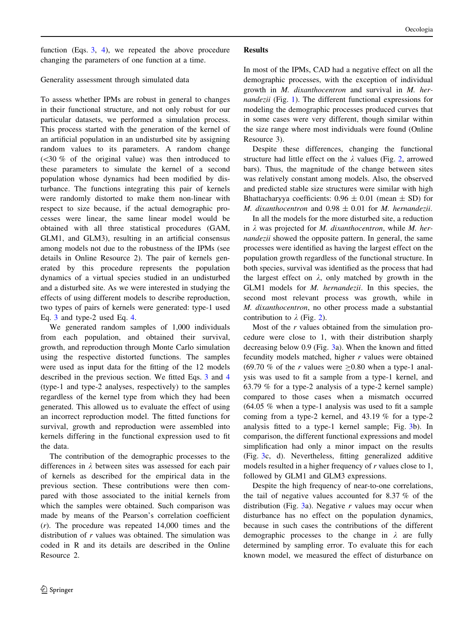function (Eqs.  $3, 4$  $3, 4$ ), we repeated the above procedure changing the parameters of one function at a time.

## Generality assessment through simulated data

To assess whether IPMs are robust in general to changes in their functional structure, and not only robust for our particular datasets, we performed a simulation process. This process started with the generation of the kernel of an artificial population in an undisturbed site by assigning random values to its parameters. A random change  $( $30\%$  of the original value) was then introduced to$ these parameters to simulate the kernel of a second population whose dynamics had been modified by disturbance. The functions integrating this pair of kernels were randomly distorted to make them non-linear with respect to size because, if the actual demographic processes were linear, the same linear model would be obtained with all three statistical procedures (GAM, GLM1, and GLM3), resulting in an artificial consensus among models not due to the robustness of the IPMs (see details in Online Resource 2). The pair of kernels generated by this procedure represents the population dynamics of a virtual species studied in an undisturbed and a disturbed site. As we were interested in studying the effects of using different models to describe reproduction, two types of pairs of kernels were generated: type-1 used Eq. [3](#page-2-0) and type-2 used Eq. [4](#page-2-0).

We generated random samples of 1,000 individuals from each population, and obtained their survival, growth, and reproduction through Monte Carlo simulation using the respective distorted functions. The samples were used as input data for the fitting of the 12 models described in the previous section. We fitted Eqs. [3](#page-2-0) and [4](#page-2-0) (type-1 and type-2 analyses, respectively) to the samples regardless of the kernel type from which they had been generated. This allowed us to evaluate the effect of using an incorrect reproduction model. The fitted functions for survival, growth and reproduction were assembled into kernels differing in the functional expression used to fit the data.

The contribution of the demographic processes to the differences in  $\lambda$  between sites was assessed for each pair of kernels as described for the empirical data in the previous section. These contributions were then compared with those associated to the initial kernels from which the samples were obtained. Such comparison was made by means of the Pearson's correlation coefficient  $(r)$ . The procedure was repeated 14,000 times and the distribution of r values was obtained. The simulation was coded in R and its details are described in the Online Resource 2.

## Results

In most of the IPMs, CAD had a negative effect on all the demographic processes, with the exception of individual growth in M. dixanthocentron and survival in M. hernandezii (Fig. [1](#page-4-0)). The different functional expressions for modeling the demographic processes produced curves that in some cases were very different, though similar within the size range where most individuals were found (Online Resource 3).

Despite these differences, changing the functional structure had little effect on the  $\lambda$  values (Fig. [2](#page-5-0), arrowed bars). Thus, the magnitude of the change between sites was relatively constant among models. Also, the observed and predicted stable size structures were similar with high Bhattacharyya coefficients:  $0.96 \pm 0.01$  (mean  $\pm$  SD) for M. dixanthocentron and  $0.98 \pm 0.01$  for M. hernandezii.

In all the models for the more disturbed site, a reduction in  $\lambda$  was projected for *M. dixanthocentron*, while *M. her*nandezii showed the opposite pattern. In general, the same processes were identified as having the largest effect on the population growth regardless of the functional structure. In both species, survival was identified as the process that had the largest effect on  $\lambda$ , only matched by growth in the GLM1 models for M. hernandezii. In this species, the second most relevant process was growth, while in M. dixanthocentron, no other process made a substantial contribution to  $\lambda$  (Fig. [2](#page-5-0)).

Most of the r values obtained from the simulation procedure were close to 1, with their distribution sharply decreasing below 0.9 (Fig. [3a](#page-6-0)). When the known and fitted fecundity models matched, higher  $r$  values were obtained (69.70 % of the r values were  $\geq$ 0.80 when a type-1 analysis was used to fit a sample from a type-1 kernel, and 63.79 % for a type-2 analysis of a type-2 kernel sample) compared to those cases when a mismatch occurred (64.05 % when a type-1 analysis was used to fit a sample coming from a type-2 kernel, and 43.19 % for a type-2 analysis fitted to a type-1 kernel sample; Fig. [3](#page-6-0)b). In comparison, the different functional expressions and model simplification had only a minor impact on the results (Fig. [3c](#page-6-0), d). Nevertheless, fitting generalized additive models resulted in a higher frequency of r values close to 1, followed by GLM1 and GLM3 expressions.

Despite the high frequency of near-to-one correlations, the tail of negative values accounted for 8.37 % of the distribution (Fig. [3a](#page-6-0)). Negative  $r$  values may occur when disturbance has no effect on the population dynamics, because in such cases the contributions of the different demographic processes to the change in  $\lambda$  are fully determined by sampling error. To evaluate this for each known model, we measured the effect of disturbance on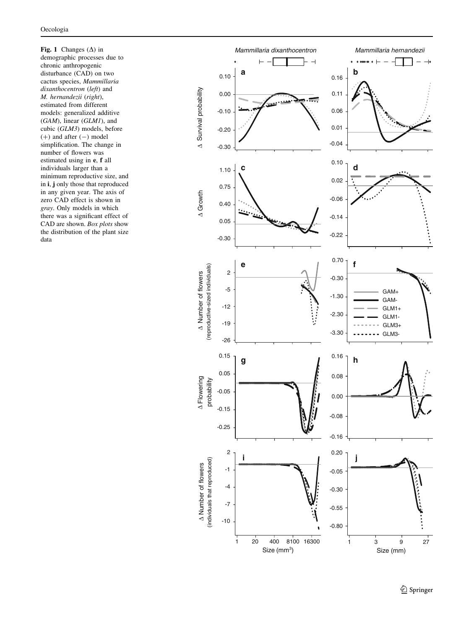<span id="page-4-0"></span>Fig. 1 Changes  $(\Delta)$  in demographic processes due to chronic anthropogenic disturbance (CAD) on two cactus species, Mammillaria dixanthocentron (left) and M. hernandezii (right), estimated from different models: generalized additive (GAM), linear (GLM1), and cubic (GLM3) models, before  $(+)$  and after  $(-)$  model simplification. The change in number of flowers was estimated using in **e**, **f** all individuals larger than a minimum reproductive size, and in **i**, **j** only those that reproduced in any given year. The axis of zero CAD effect is shown in gray. Only models in which there was a significant effect of CAD are shown. Box plots show the distribution of the plant size data

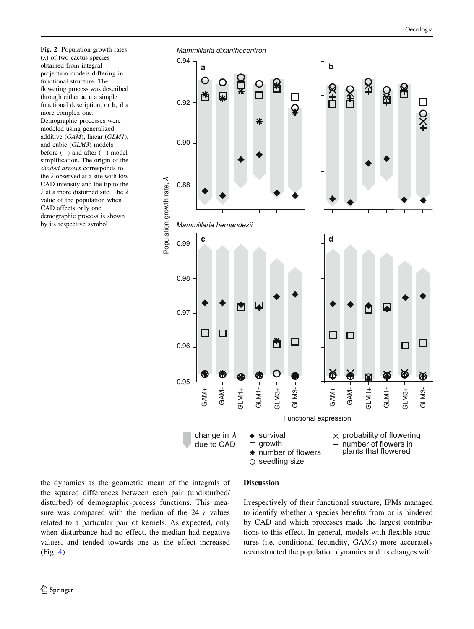<span id="page-5-0"></span>Fig. 2 Population growth rates  $(\lambda)$  of two cactus species obtained from integral projection models differing in functional structure. The flowering process was described through either a, c a simple functional description, or b, d a more complex one. Demographic processes were modeled using generalized additive (GAM), linear (GLM1), and cubic (GLM3) models before  $(+)$  and after  $(-)$  model simplification. The origin of the shaded arrows corresponds to the  $\lambda$  observed at a site with low CAD intensity and the tip to the  $\lambda$  at a more disturbed site. The  $\lambda$ value of the population when CAD affects only one demographic process is shown by its respective symbol



the dynamics as the geometric mean of the integrals of the squared differences between each pair (undisturbed/ disturbed) of demographic-process functions. This measure was compared with the median of the  $24 r$  values related to a particular pair of kernels. As expected, only when disturbance had no effect, the median had negative values, and tended towards one as the effect increased (Fig. [4](#page-6-0)).

#### Discussion

Irrespectively of their functional structure, IPMs managed to identify whether a species benefits from or is hindered by CAD and which processes made the largest contributions to this effect. In general, models with flexible structures (i.e. conditional fecundity, GAMs) more accurately reconstructed the population dynamics and its changes with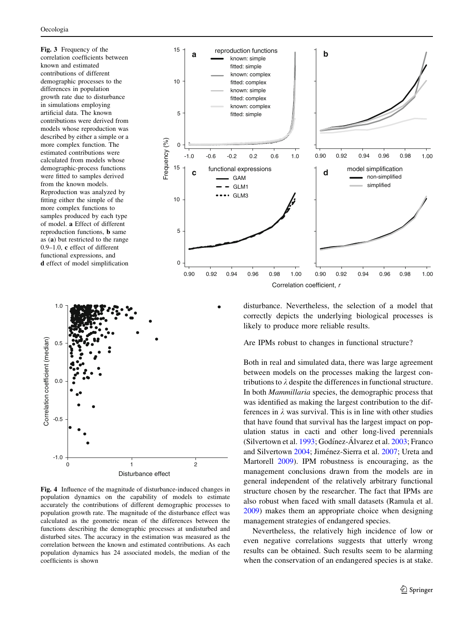<span id="page-6-0"></span>Fig. 3 Frequency of the correlation coefficients between known and estimated contributions of different demographic processes to the differences in population growth rate due to disturbance in simulations employing artificial data. The known contributions were derived from models whose reproduction was described by either a simple or a more complex function. The estimated contributions were calculated from models whose demographic-process functions were fitted to samples derived from the known models. Reproduction was analyzed by fitting either the simple of the more complex functions to samples produced by each type of model. a Effect of different reproduction functions, b same as (a) but restricted to the range 0.9–1.0, c effect of different functional expressions, and d effect of model simplification





Fig. 4 Influence of the magnitude of disturbance-induced changes in population dynamics on the capability of models to estimate accurately the contributions of different demographic processes to population growth rate. The magnitude of the disturbance effect was calculated as the geometric mean of the differences between the functions describing the demographic processes at undisturbed and disturbed sites. The accuracy in the estimation was measured as the correlation between the known and estimated contributions. As each population dynamics has 24 associated models, the median of the coefficients is shown

disturbance. Nevertheless, the selection of a model that correctly depicts the underlying biological processes is likely to produce more reliable results.

Are IPMs robust to changes in functional structure?

Both in real and simulated data, there was large agreement between models on the processes making the largest contributions to  $\lambda$  despite the differences in functional structure. In both Mammillaria species, the demographic process that was identified as making the largest contribution to the differences in  $\lambda$  was survival. This is in line with other studies that have found that survival has the largest impact on population status in cacti and other long-lived perennials (Silvertown et al. [1993;](#page-9-0) Godínez-Álvarez et al.  $2003$ ; Franco and Silvertown [2004;](#page-8-0) Jiménez-Sierra et al. [2007;](#page-8-0) Ureta and Martorell [2009](#page-9-0)). IPM robustness is encouraging, as the management conclusions drawn from the models are in general independent of the relatively arbitrary functional structure chosen by the researcher. The fact that IPMs are also robust when faced with small datasets (Ramula et al. [2009](#page-9-0)) makes them an appropriate choice when designing management strategies of endangered species.

Nevertheless, the relatively high incidence of low or even negative correlations suggests that utterly wrong results can be obtained. Such results seem to be alarming when the conservation of an endangered species is at stake.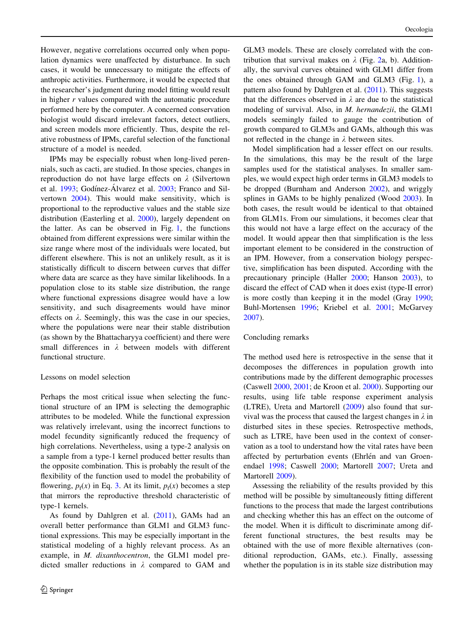However, negative correlations occurred only when population dynamics were unaffected by disturbance. In such cases, it would be unnecessary to mitigate the effects of anthropic activities. Furthermore, it would be expected that the researcher's judgment during model fitting would result in higher  $r$  values compared with the automatic procedure performed here by the computer. A concerned conservation biologist would discard irrelevant factors, detect outliers, and screen models more efficiently. Thus, despite the relative robustness of IPMs, careful selection of the functional structure of a model is needed.

IPMs may be especially robust when long-lived perennials, such as cacti, are studied. In those species, changes in reproduction do not have large effects on  $\lambda$  (Silvertown et al. [1993](#page-9-0); Godínez-Álvarez et al. [2003;](#page-8-0) Franco and Silvertown [2004\)](#page-8-0). This would make sensitivity, which is proportional to the reproductive values and the stable size distribution (Easterling et al. [2000](#page-8-0)), largely dependent on the latter. As can be observed in Fig. [1](#page-4-0), the functions obtained from different expressions were similar within the size range where most of the individuals were located, but different elsewhere. This is not an unlikely result, as it is statistically difficult to discern between curves that differ where data are scarce as they have similar likelihoods. In a population close to its stable size distribution, the range where functional expressions disagree would have a low sensitivity, and such disagreements would have minor effects on  $\lambda$ . Seemingly, this was the case in our species, where the populations were near their stable distribution (as shown by the Bhattacharyya coefficient) and there were small differences in  $\lambda$  between models with different functional structure.

## Lessons on model selection

Perhaps the most critical issue when selecting the functional structure of an IPM is selecting the demographic attributes to be modeled. While the functional expression was relatively irrelevant, using the incorrect functions to model fecundity significantly reduced the frequency of high correlations. Nevertheless, using a type-2 analysis on a sample from a type-1 kernel produced better results than the opposite combination. This is probably the result of the flexibility of the function used to model the probability of flowering,  $p_f(x)$  in Eq. [3](#page-2-0). At its limit,  $p_f(x)$  becomes a step that mirrors the reproductive threshold characteristic of type-1 kernels.

As found by Dahlgren et al. [\(2011](#page-8-0)), GAMs had an overall better performance than GLM1 and GLM3 functional expressions. This may be especially important in the statistical modeling of a highly relevant process. As an example, in M. dixanthocentron, the GLM1 model predicted smaller reductions in  $\lambda$  compared to GAM and GLM3 models. These are closely correlated with the contribution that survival makes on  $\lambda$  (Fig. [2a](#page-5-0), b). Additionally, the survival curves obtained with GLM1 differ from the ones obtained through GAM and GLM3 (Fig. [1](#page-4-0)), a pattern also found by Dahlgren et al. [\(2011](#page-8-0)). This suggests that the differences observed in  $\lambda$  are due to the statistical modeling of survival. Also, in M. hernandezii, the GLM1 models seemingly failed to gauge the contribution of growth compared to GLM3s and GAMs, although this was not reflected in the change in  $\lambda$  between sites.

Model simplification had a lesser effect on our results. In the simulations, this may be the result of the large samples used for the statistical analyses. In smaller samples, we would expect high order terms in GLM3 models to be dropped (Burnham and Anderson [2002](#page-8-0)), and wriggly splines in GAMs to be highly penalized (Wood [2003\)](#page-9-0). In both cases, the result would be identical to that obtained from GLM1s. From our simulations, it becomes clear that this would not have a large effect on the accuracy of the model. It would appear then that simplification is the less important element to be considered in the construction of an IPM. However, from a conservation biology perspective, simplification has been disputed. According with the precautionary principle (Haller [2000](#page-8-0); Hanson [2003](#page-8-0)), to discard the effect of CAD when it does exist (type-II error) is more costly than keeping it in the model (Gray [1990](#page-8-0); Buhl-Mortensen [1996;](#page-8-0) Kriebel et al. [2001](#page-8-0); McGarvey [2007](#page-9-0)).

## Concluding remarks

The method used here is retrospective in the sense that it decomposes the differences in population growth into contributions made by the different demographic processes (Caswell [2000](#page-8-0), [2001;](#page-8-0) de Kroon et al. [2000\)](#page-8-0). Supporting our results, using life table response experiment analysis (LTRE), Ureta and Martorell ([2009\)](#page-9-0) also found that survival was the process that caused the largest changes in  $\lambda$  in disturbed sites in these species. Retrospective methods, such as LTRE, have been used in the context of conservation as a tool to understand how the vital rates have been affected by perturbation events (Ehrlén and van Groenendael [1998;](#page-8-0) Caswell [2000](#page-8-0); Martorell [2007](#page-8-0); Ureta and Martorell [2009](#page-9-0)).

Assessing the reliability of the results provided by this method will be possible by simultaneously fitting different functions to the process that made the largest contributions and checking whether this has an effect on the outcome of the model. When it is difficult to discriminate among different functional structures, the best results may be obtained with the use of more flexible alternatives (conditional reproduction, GAMs, etc.). Finally, assessing whether the population is in its stable size distribution may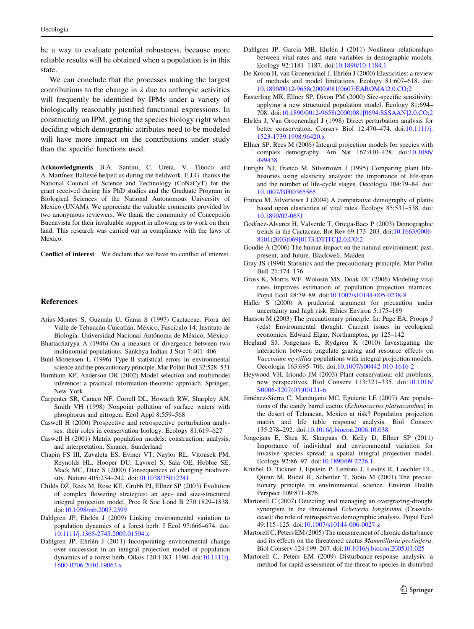<span id="page-8-0"></span>be a way to evaluate potential robustness, because more reliable results will be obtained when a population is in this state.

We can conclude that the processes making the largest contributions to the change in  $\lambda$  due to anthropic activities will frequently be identified by IPMs under a variety of biologically reasonably justified functional expressions. In constructing an IPM, getting the species biology right when deciding which demographic attributes need to be modeled will have more impact on the contributions under study than the specific functions used.

Acknowledgments B.A. Santini, C. Ureta, V. Tinoco and A. Martinez-Ballesté helped us during the fieldwork. E.J.G. thanks the National Council of Science and Technology (CoNaCyT) for the grant received during his PhD studies and the Graduate Program in Biological Sciences of the National Autonomous University of Mexico (UNAM). We appreciate the valuable comments provided by two anonymous reviewers. We thank the community of Concepción Buenavista for their invaluable support in allowing us to work on their land. This research was carried out in compliance with the laws of Mexico.

Conflict of interest We declare that we have no conflict of interest.

#### References

- Arias-Montes S, Guzmán U, Gama S (1997) Cactaceae. Flora del Valle de Tehuacán-Cuicatlán, México, Fascículo 14. Instituto de Biología. Universidad Nacional Autónoma de México, México
- Bhattacharyya A (1946) On a measure of divergence between two multinomial populations. Sankhya Indian J Stat 7:401–406
- Buhl-Mortensen L (1996) Type-II statistical errors in environmental science and the precautionary principle. Mar Pollut Bull 32:528–531
- Burnham KP, Anderson DR (2002) Model selection and multimodel inference: a practical information-theoretic approach. Springer, New York
- Carpenter SR, Caraco NF, Correll DL, Howarth RW, Sharpley AN, Smith VH (1998) Nonpoint pollution of surface waters with phosphorus and nitrogen. Ecol Appl 8:559–568
- Caswell H (2000) Prospective and retrospective perturbation analyses: their roles in conservation biology. Ecology 81:619–627
- Caswell H (2001) Matrix population models: construction, analysis, and interpretation. Sinauer, Sunderland
- Chapin FS III, Zavaleta ES, Eviner VT, Naylor RL, Vitousek PM, Reynolds HL, Hooper DU, Lavorel S, Sala OE, Hobbie SE, Mack MC, Díaz S (2000) Consequences of changing biodiversity. Nature 405:234–242. doi[:10.1038/35012241](http://dx.doi.org/10.1038/35012241)
- Childs DZ, Rees M, Rose KE, Grubb PJ, Ellner SP (2003) Evolution of complex flowering strategies: an age- and size-structured integral projection model. Proc R Soc Lond B 270:1829–1838. doi[:10.1098/rsb.2003.2399](http://dx.doi.org/10.1098/rsb.2003.2399)
- Dahlgren JP, Ehrlén J (2009) Linking environmental variation to population dynamics of a forest herb. J Ecol 97:666–674. doi: [10.1111/j.1365-2745.2009.01504.x](http://dx.doi.org/10.1111/j.1365-2745.2009.01504.x)
- Dahlgren JP, Ehrlén J (2011) Incorporating environmental change over succession in an integral projection model of population dynamics of a forest herb. Oikos 120:1183–1190. doi:[10.1111/j.](http://dx.doi.org/10.1111/j.1600-0706.2010.19063.x) [1600-0706.2010.19063.x](http://dx.doi.org/10.1111/j.1600-0706.2010.19063.x)
- Dahlgren JP, García MB, Ehrlén J (2011) Nonlinear relationships between vital rates and state variables in demographic models. Ecology 92:1181–1187. doi[:10.1890/10-1184.1](http://dx.doi.org/10.1890/10-1184.1)
- De Kroon H, van Groenendael J, Ehrlén J (2000) Elasticities: a review of methods and model limitations. Ecology 81:607–618. doi: [10.1890/0012-9658\(2000\)081\[0607:EAROMA\]2.0.CO;2](http://dx.doi.org/10.1890/0012-9658(2000)081[0607:EAROMA]2.0.CO;2)
- Easterling MR, Ellner SP, Dixon PM (2000) Size-specific sensitivity: applying a new structured population model. Ecology 81:694– 708. doi[:10.1890/0012-9658\(2000\)081\[0694:SSSAAN\]2.0.CO;2](http://dx.doi.org/10.1890/0012-9658(2000)081[0694:SSSAAN]2.0.CO;2)
- Ehrlén J, Van Groenendael J (1998) Direct perturbation analysis for better conservation. Conserv Biol 12:470–474. doi:[10.1111/j.](http://dx.doi.org/10.1111/j.1523-1739.1998.96420.x) [1523-1739.1998.96420.x](http://dx.doi.org/10.1111/j.1523-1739.1998.96420.x)
- Ellner SP, Rees M (2006) Integral projection models for species with complex demography. Am Nat 167:410–428. doi[:10.1086/](http://dx.doi.org/10.1086/499438) [499438](http://dx.doi.org/10.1086/499438)
- Enright NJ, Franco M, Silvertown J (1995) Comparing plant lifehistories using elasticity analysis: the importance of life-span and the number of life-cycle stages. Oecologia 104:79–84. doi: [10.1007/BF00365565](http://dx.doi.org/10.1007/BF00365565)
- Franco M, Silvertown J (2004) A comparative demography of plants based upon elasticities of vital rates. Ecology 85:531–538. doi: [10.1890/02-0651](http://dx.doi.org/10.1890/02-0651)
- Godínez-Álvarez H, Valverde T, Ortega-Baes P (2003) Demographic trends in the Cactaceae. Bot Rev 69:173–203. doi:[10.1663/0006-](http://dx.doi.org/10.1663/0006-8101(2003)069[0173:DTITC]2.0.CO;2) [8101\(2003\)069\[0173:DTITC\]2.0.CO;2](http://dx.doi.org/10.1663/0006-8101(2003)069[0173:DTITC]2.0.CO;2)
- Goudie A (2006) The human impact on the natural environment: past, present, and future. Blackwell, Malden
- Gray JS (1990) Statistics and the precautionary principle. Mar Pollut Bull 21:174–176
- Gross K, Morris WF, Wolosin MS, Doak DF (2006) Modeling vital rates improves estimation of population projection matrices. Popul Ecol 48:79–89. doi[:10.1007/s10144-005-0238-8](http://dx.doi.org/10.1007/s10144-005-0238-8)
- Haller S (2000) A prudential argument for precaution under uncertainty and high risk. Ethics Environ 5:175–189
- Hanson M (2003) The precautionary principle. In: Page EA, Proops J (eds) Environmental thought. Current issues in ecological economics. Edward Elgar, Northampton, pp 125–142
- Hegland SJ, Jongejans E, Rydgren K (2010) Investigating the interaction between ungulate grazing and resource effects on Vaccinium myrtillus populations with integral projection models. Oecologia 163:695–706. doi:[10.1007/s00442-010-1616-2](http://dx.doi.org/10.1007/s00442-010-1616-2)
- Heywood VH, Iriondo JM (2003) Plant conservation: old problems, new perspectives. Biol Conserv 113:321–335. doi[:10.1016/](http://dx.doi.org/10.1016/S0006-3207(03)00121-6) [S0006-3207\(03\)00121-6](http://dx.doi.org/10.1016/S0006-3207(03)00121-6)
- Jiménez-Sierra C, Mandujano MC, Eguiarte LE (2007) Are populations of the candy barrel cactus (Echinocactus platyacanthus) in the desert of Tehuacan, Mexico at risk? Population projection matrix and life table response analysis. Biol Conserv 135:278–292. doi[:10.1016/j.biocon.2006.10.038](http://dx.doi.org/10.1016/j.biocon.2006.10.038)
- Jongejans E, Shea K, Skarpaas O, Kelly D, Ellner SP (2011) Importance of individual and environmental variation for invasive species spread: a spatial integral projection model. Ecology 92:86–97. doi:[10.1890/09-2226.1](http://dx.doi.org/10.1890/09-2226.1)
- Kriebel D, Tickner J, Epstein P, Lemons J, Levins R, Loechler EL, Quinn M, Rudel R, Schettler T, Stoto M (2001) The precautionary principle in environmental science. Environ Health Perspect 109:871–876
- Martorell C (2007) Detecting and managing an overgrazing-drought synergism in the threatened *Echeveria longissima* (Crassulaceae): the role of retrospective demographic analysis. Popul Ecol 49:115–125. doi:[10.1007/s10144-006-0027-z](http://dx.doi.org/10.1007/s10144-006-0027-z)
- Martorell C, Peters EM (2005) The measurement of chronic disturbance and its effects on the threatened cactus Mammillaria pectinifera. Biol Conserv 124:199–207. doi:[10.1016/j.biocon.2005.01.025](http://dx.doi.org/10.1016/j.biocon.2005.01.025)
- Martorell C, Peters EM (2009) Disturbance-response analysis: a method for rapid assessment of the threat to species in disturbed